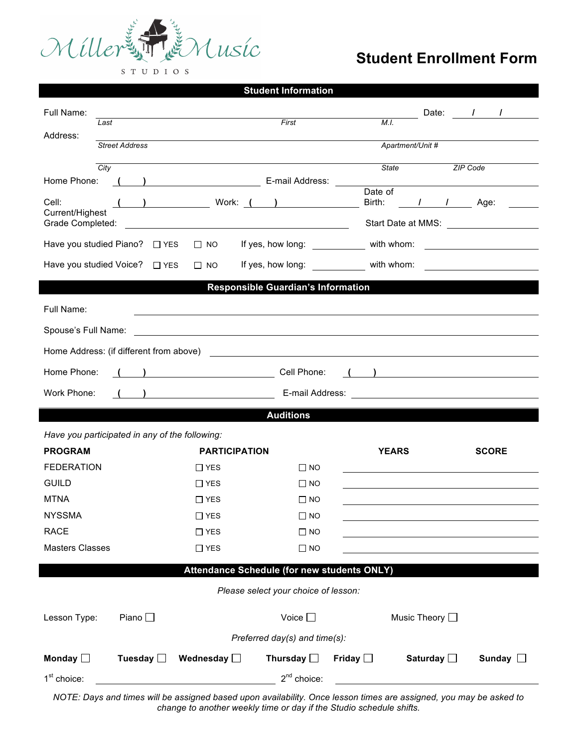

## **Student Enrollment Form**

STUDIOS

| <b>Student Information</b>                                                                                                                                                                                                                                                                                                                        |                                                                                                                |                  |                                                         |                                         |                                         |                 |                 |  |
|---------------------------------------------------------------------------------------------------------------------------------------------------------------------------------------------------------------------------------------------------------------------------------------------------------------------------------------------------|----------------------------------------------------------------------------------------------------------------|------------------|---------------------------------------------------------|-----------------------------------------|-----------------------------------------|-----------------|-----------------|--|
| Full Name:                                                                                                                                                                                                                                                                                                                                        |                                                                                                                |                  |                                                         |                                         |                                         |                 | Date: / /       |  |
| Address:                                                                                                                                                                                                                                                                                                                                          | First<br>Last                                                                                                  |                  |                                                         | M.I.                                    |                                         |                 |                 |  |
|                                                                                                                                                                                                                                                                                                                                                   | <b>Street Address</b>                                                                                          |                  |                                                         |                                         | Apartment/Unit #                        |                 |                 |  |
| City                                                                                                                                                                                                                                                                                                                                              |                                                                                                                |                  |                                                         |                                         | State                                   |                 | ZIP Code        |  |
|                                                                                                                                                                                                                                                                                                                                                   |                                                                                                                |                  |                                                         |                                         | Date of                                 |                 |                 |  |
| Cell:<br>Current/Highest                                                                                                                                                                                                                                                                                                                          |                                                                                                                |                  |                                                         |                                         |                                         |                 | Birth: I I Age: |  |
| Grade Completed:                                                                                                                                                                                                                                                                                                                                  | <u> 2008 - Andrea Britain, amerikan personal (h. 1878).</u>                                                    |                  |                                                         |                                         |                                         |                 |                 |  |
| Have you studied Piano? □ YES<br>$\Box$ NO                                                                                                                                                                                                                                                                                                        |                                                                                                                |                  |                                                         | If yes, how long: with whom: with whom: |                                         |                 |                 |  |
| Have you studied Voice? □ YES<br>$\Box$ NO                                                                                                                                                                                                                                                                                                        |                                                                                                                |                  |                                                         |                                         | If yes, how long: with whom: with whom: |                 |                 |  |
| <b>Responsible Guardian's Information</b>                                                                                                                                                                                                                                                                                                         |                                                                                                                |                  |                                                         |                                         |                                         |                 |                 |  |
| Full Name:                                                                                                                                                                                                                                                                                                                                        |                                                                                                                |                  |                                                         |                                         |                                         |                 |                 |  |
| Spouse's Full Name:                                                                                                                                                                                                                                                                                                                               |                                                                                                                |                  | <u> 1989 - Jan Barbara, martxa al II-lea (h. 1989).</u> |                                         |                                         |                 |                 |  |
| Home Address: (if different from above)                                                                                                                                                                                                                                                                                                           |                                                                                                                |                  |                                                         |                                         |                                         |                 |                 |  |
| Home Phone:<br>$\overline{a}$ and $\overline{a}$ and $\overline{a}$ and $\overline{a}$ and $\overline{a}$ and $\overline{a}$ and $\overline{a}$ and $\overline{a}$ and $\overline{a}$ and $\overline{a}$ and $\overline{a}$ and $\overline{a}$ and $\overline{a}$ and $\overline{a}$ and $\overline{a}$ and $\overline{a}$ and $\overline{a}$ and |                                                                                                                |                  |                                                         |                                         |                                         |                 |                 |  |
| Work Phone:                                                                                                                                                                                                                                                                                                                                       | ( ) R-mail Address: 2008 Contract 2008 Contract 2008 Contract 2008 Contract 2008 Contract 2008 Contract 2008 C |                  |                                                         |                                         |                                         |                 |                 |  |
| <b>Auditions</b>                                                                                                                                                                                                                                                                                                                                  |                                                                                                                |                  |                                                         |                                         |                                         |                 |                 |  |
| Have you participated in any of the following:                                                                                                                                                                                                                                                                                                    |                                                                                                                |                  |                                                         |                                         |                                         |                 |                 |  |
| <b>PROGRAM</b>                                                                                                                                                                                                                                                                                                                                    | <b>PARTICIPATION</b>                                                                                           |                  |                                                         |                                         | <b>YEARS</b><br><b>SCORE</b>            |                 |                 |  |
| <b>FEDERATION</b>                                                                                                                                                                                                                                                                                                                                 |                                                                                                                | $\Box$ YES       |                                                         | $\Box$ NO                               |                                         |                 |                 |  |
| <b>GUILD</b>                                                                                                                                                                                                                                                                                                                                      |                                                                                                                | $\Box$ YES       |                                                         | $\Box$ NO                               |                                         |                 |                 |  |
| <b>MTNA</b>                                                                                                                                                                                                                                                                                                                                       |                                                                                                                | $\Box$ YES       |                                                         | $\square$ NO                            |                                         |                 |                 |  |
| <b>NYSSMA</b>                                                                                                                                                                                                                                                                                                                                     |                                                                                                                | $\Box$ YES       |                                                         | $\square$ NO                            |                                         |                 |                 |  |
| <b>RACE</b>                                                                                                                                                                                                                                                                                                                                       |                                                                                                                | $\Box$ YES       |                                                         | $\square$ NO                            |                                         |                 |                 |  |
| <b>Masters Classes</b>                                                                                                                                                                                                                                                                                                                            |                                                                                                                | $\Box$ YES       |                                                         | $\square$ NO                            |                                         |                 |                 |  |
| Attendance Schedule (for new students ONLY)                                                                                                                                                                                                                                                                                                       |                                                                                                                |                  |                                                         |                                         |                                         |                 |                 |  |
| Please select your choice of lesson:                                                                                                                                                                                                                                                                                                              |                                                                                                                |                  |                                                         |                                         |                                         |                 |                 |  |
| Lesson Type:                                                                                                                                                                                                                                                                                                                                      | Piano $\square$<br>Voice $\square$                                                                             |                  |                                                         |                                         | Music Theory □                          |                 |                 |  |
| Preferred day(s) and time(s):                                                                                                                                                                                                                                                                                                                     |                                                                                                                |                  |                                                         |                                         |                                         |                 |                 |  |
| Monday $\Box$                                                                                                                                                                                                                                                                                                                                     | Tuesday $\square$                                                                                              | Wednesday $\Box$ | Thursday $\square$                                      |                                         | Friday $\square$                        | Saturday $\Box$ | Sunday $\Box$   |  |
| 1 <sup>st</sup> choice:                                                                                                                                                                                                                                                                                                                           |                                                                                                                |                  |                                                         | $2^{nd}$ choice:                        |                                         |                 |                 |  |

*NOTE: Days and times will be assigned based upon availability. Once lesson times are assigned, you may be asked to change to another weekly time or day if the Studio schedule shifts.*